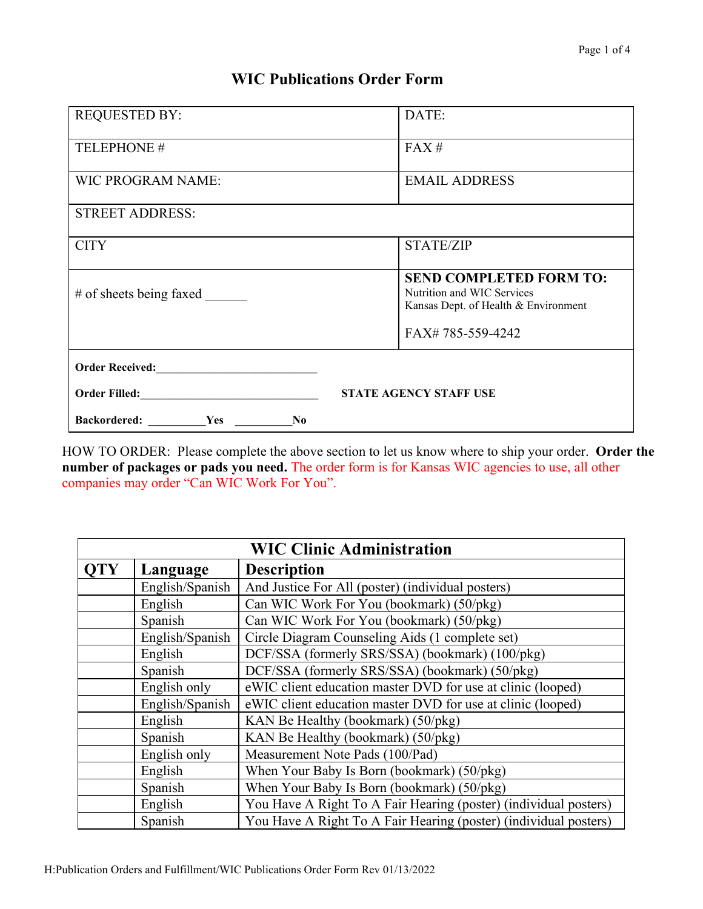## **WIC Publications Order Form**

| <b>REQUESTED BY:</b>                                                                                                                                                                                                           | DATE:                                                                                                |
|--------------------------------------------------------------------------------------------------------------------------------------------------------------------------------------------------------------------------------|------------------------------------------------------------------------------------------------------|
| TELEPHONE #                                                                                                                                                                                                                    | FAX#                                                                                                 |
| <b>WIC PROGRAM NAME:</b>                                                                                                                                                                                                       | <b>EMAIL ADDRESS</b>                                                                                 |
| <b>STREET ADDRESS:</b>                                                                                                                                                                                                         |                                                                                                      |
| <b>CITY</b>                                                                                                                                                                                                                    | <b>STATE/ZIP</b>                                                                                     |
| # of sheets being faxed                                                                                                                                                                                                        | <b>SEND COMPLETED FORM TO:</b><br>Nutrition and WIC Services<br>Kansas Dept. of Health & Environment |
|                                                                                                                                                                                                                                | FAX#785-559-4242                                                                                     |
|                                                                                                                                                                                                                                |                                                                                                      |
| Order Filled: North Contract of The Contract of The Contract of The Contract of The Contract of The Contract of The Contract of The Contract of The Contract of The Contract of The Contract of The Contract of The Contract o | <b>STATE AGENCY STAFF USE</b>                                                                        |
| Backordered: Yes<br>N <sub>0</sub>                                                                                                                                                                                             |                                                                                                      |

HOW TO ORDER: Please complete the above section to let us know where to ship your order. **Order the number of packages or pads you need.** The order form is for Kansas WIC agencies to use, all other companies may order "Can WIC Work For You".

| <b>WIC Clinic Administration</b> |                 |                                                                  |
|----------------------------------|-----------------|------------------------------------------------------------------|
| <b>QTY</b>                       | Language        | <b>Description</b>                                               |
|                                  | English/Spanish | And Justice For All (poster) (individual posters)                |
|                                  | English         | Can WIC Work For You (bookmark) (50/pkg)                         |
|                                  | Spanish         | Can WIC Work For You (bookmark) (50/pkg)                         |
|                                  | English/Spanish | Circle Diagram Counseling Aids (1 complete set)                  |
|                                  | English         | DCF/SSA (formerly SRS/SSA) (bookmark) (100/pkg)                  |
|                                  | Spanish         | DCF/SSA (formerly SRS/SSA) (bookmark) (50/pkg)                   |
|                                  | English only    | eWIC client education master DVD for use at clinic (looped)      |
|                                  | English/Spanish | eWIC client education master DVD for use at clinic (looped)      |
|                                  | English         | KAN Be Healthy (bookmark) (50/pkg)                               |
|                                  | Spanish         | KAN Be Healthy (bookmark) (50/pkg)                               |
|                                  | English only    | Measurement Note Pads (100/Pad)                                  |
|                                  | English         | When Your Baby Is Born (bookmark) (50/pkg)                       |
|                                  | Spanish         | When Your Baby Is Born (bookmark) (50/pkg)                       |
|                                  | English         | You Have A Right To A Fair Hearing (poster) (individual posters) |
|                                  | Spanish         | You Have A Right To A Fair Hearing (poster) (individual posters) |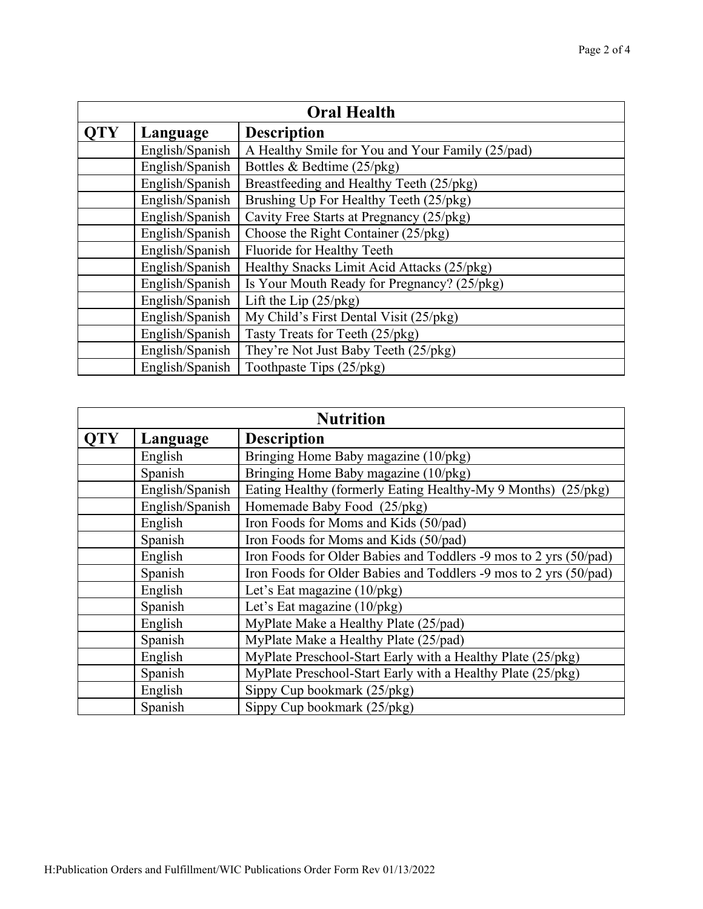| <b>Oral Health</b> |                 |                                                  |
|--------------------|-----------------|--------------------------------------------------|
| <b>OTY</b>         | Language        | <b>Description</b>                               |
|                    | English/Spanish | A Healthy Smile for You and Your Family (25/pad) |
|                    | English/Spanish | Bottles & Bedtime $(25/\text{pkg})$              |
|                    | English/Spanish | Breastfeeding and Healthy Teeth (25/pkg)         |
|                    | English/Spanish | Brushing Up For Healthy Teeth (25/pkg)           |
|                    | English/Spanish | Cavity Free Starts at Pregnancy (25/pkg)         |
|                    | English/Spanish | Choose the Right Container (25/pkg)              |
|                    | English/Spanish | Fluoride for Healthy Teeth                       |
|                    | English/Spanish | Healthy Snacks Limit Acid Attacks (25/pkg)       |
|                    | English/Spanish | Is Your Mouth Ready for Pregnancy? (25/pkg)      |
|                    | English/Spanish | Lift the Lip $(25/\gamma)$                       |
|                    | English/Spanish | My Child's First Dental Visit (25/pkg)           |
|                    | English/Spanish | Tasty Treats for Teeth (25/pkg)                  |
|                    | English/Spanish | They're Not Just Baby Teeth (25/pkg)             |
|                    | English/Spanish | Toothpaste Tips (25/pkg)                         |

| <b>Nutrition</b> |                 |                                                                   |
|------------------|-----------------|-------------------------------------------------------------------|
| <b>OTY</b>       | Language        | <b>Description</b>                                                |
|                  | English         | Bringing Home Baby magazine (10/pkg)                              |
|                  | Spanish         | Bringing Home Baby magazine (10/pkg)                              |
|                  | English/Spanish | Eating Healthy (formerly Eating Healthy-My 9 Months) (25/pkg)     |
|                  | English/Spanish | Homemade Baby Food (25/pkg)                                       |
|                  | English         | Iron Foods for Moms and Kids (50/pad)                             |
|                  | Spanish         | Iron Foods for Moms and Kids (50/pad)                             |
|                  | English         | Iron Foods for Older Babies and Toddlers -9 mos to 2 yrs (50/pad) |
|                  | Spanish         | Iron Foods for Older Babies and Toddlers -9 mos to 2 yrs (50/pad) |
|                  | English         | Let's Eat magazine $(10/pkg)$                                     |
|                  | Spanish         | Let's Eat magazine $(10/pkg)$                                     |
|                  | English         | MyPlate Make a Healthy Plate (25/pad)                             |
|                  | Spanish         | MyPlate Make a Healthy Plate (25/pad)                             |
|                  | English         | MyPlate Preschool-Start Early with a Healthy Plate (25/pkg)       |
|                  | Spanish         | MyPlate Preschool-Start Early with a Healthy Plate (25/pkg)       |
|                  | English         | Sippy Cup bookmark (25/pkg)                                       |
|                  | Spanish         | Sippy Cup bookmark (25/pkg)                                       |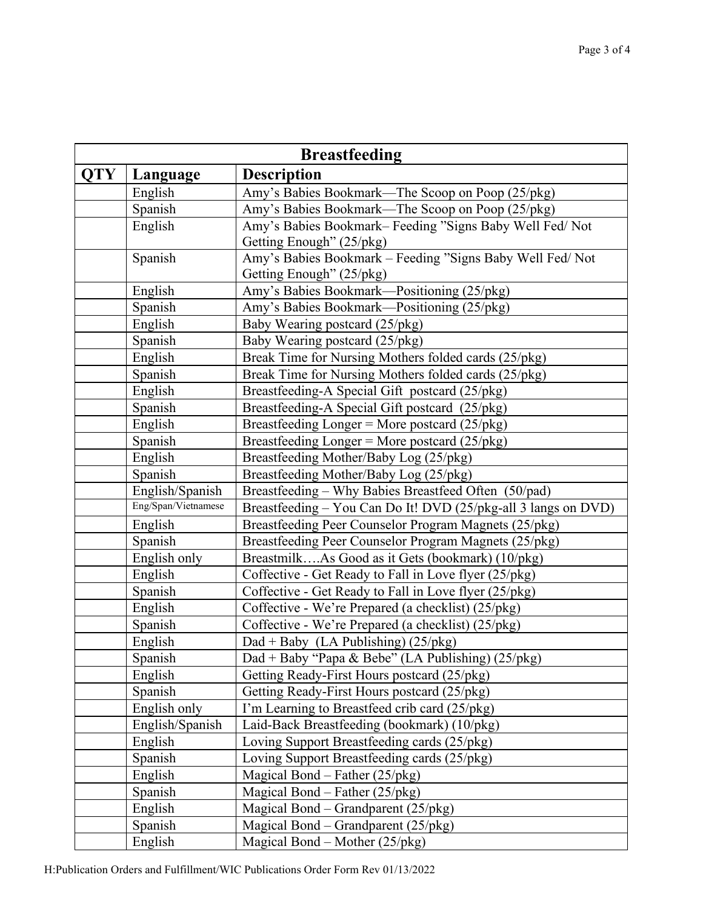| <b>Breastfeeding</b> |                     |                                                                |
|----------------------|---------------------|----------------------------------------------------------------|
| <b>QTY</b>           | Language            | <b>Description</b>                                             |
|                      | English             | Amy's Babies Bookmark—The Scoop on Poop (25/pkg)               |
|                      | Spanish             | Amy's Babies Bookmark-The Scoop on Poop (25/pkg)               |
|                      | English             | Amy's Babies Bookmark-Feeding "Signs Baby Well Fed/ Not        |
|                      |                     | Getting Enough" (25/pkg)                                       |
|                      | Spanish             | Amy's Babies Bookmark - Feeding "Signs Baby Well Fed/ Not      |
|                      |                     | Getting Enough" (25/pkg)                                       |
|                      | English             | Amy's Babies Bookmark-Positioning (25/pkg)                     |
|                      | Spanish             | Amy's Babies Bookmark—Positioning (25/pkg)                     |
|                      | English             | Baby Wearing postcard (25/pkg)                                 |
|                      | Spanish             | Baby Wearing postcard (25/pkg)                                 |
|                      | English             | Break Time for Nursing Mothers folded cards (25/pkg)           |
|                      | Spanish             | Break Time for Nursing Mothers folded cards (25/pkg)           |
|                      | English             | Breastfeeding-A Special Gift postcard (25/pkg)                 |
|                      | Spanish             | Breastfeeding-A Special Gift postcard (25/pkg)                 |
|                      | English             | Breastfeeding Longer = More postcard (25/pkg)                  |
|                      | Spanish             | Breastfeeding Longer = More postcard (25/pkg)                  |
|                      | English             | Breastfeeding Mother/Baby Log (25/pkg)                         |
|                      | Spanish             | Breastfeeding Mother/Baby Log (25/pkg)                         |
|                      | English/Spanish     | Breastfeeding - Why Babies Breastfeed Often (50/pad)           |
|                      | Eng/Span/Vietnamese | Breastfeeding – You Can Do It! DVD (25/pkg-all 3 langs on DVD) |
|                      | English             | Breastfeeding Peer Counselor Program Magnets (25/pkg)          |
|                      | Spanish             | Breastfeeding Peer Counselor Program Magnets (25/pkg)          |
|                      | English only        | BreastmilkAs Good as it Gets (bookmark) (10/pkg)               |
|                      | English             | Coffective - Get Ready to Fall in Love flyer (25/pkg)          |
|                      | Spanish             | Coffective - Get Ready to Fall in Love flyer (25/pkg)          |
|                      | English             | Coffective - We're Prepared (a checklist) (25/pkg)             |
|                      | Spanish             | Coffective - We're Prepared (a checklist) (25/pkg)             |
|                      | English             | Dad + Baby (LA Publishing) $(25/\gamma)$                       |
|                      | Spanish             | Dad + Baby "Papa & Bebe" (LA Publishing) (25/pkg)              |
|                      | English             | Getting Ready-First Hours postcard (25/pkg)                    |
|                      | Spanish             | Getting Ready-First Hours postcard (25/pkg)                    |
|                      | English only        | I'm Learning to Breastfeed crib card (25/pkg)                  |
|                      | English/Spanish     | Laid-Back Breastfeeding (bookmark) (10/pkg)                    |
|                      | English             | Loving Support Breastfeeding cards (25/pkg)                    |
|                      | Spanish             | Loving Support Breastfeeding cards (25/pkg)                    |
|                      | English             | Magical Bond – Father $(25/\gamma)$                            |
|                      | Spanish             | Magical Bond – Father $(25/\gamma)$                            |
|                      | English             | Magical Bond - Grandparent (25/pkg)                            |
|                      | Spanish             | Magical Bond – Grandparent $(25/\gamma)$                       |
|                      | English             | Magical Bond – Mother $(25/\gamma)$                            |